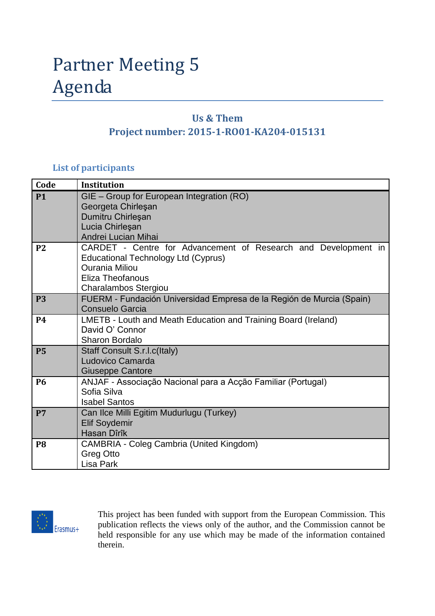# Partner Meeting 5 Agenda

## **Us & Them Project number: 2015-1-RO01-KA204-015131**

#### **List of participants**

| Code           | <b>Institution</b>                                                                                                                                                                |
|----------------|-----------------------------------------------------------------------------------------------------------------------------------------------------------------------------------|
| <b>P1</b>      | GIE - Group for European Integration (RO)<br>Georgeta Chirleşan<br>Dumitru Chirleşan<br>Lucia Chirleşan<br>Andrei Lucian Mihai                                                    |
| P <sub>2</sub> | CARDET - Centre for Advancement of Research and Development in<br>Educational Technology Ltd (Cyprus)<br><b>Ourania Miliou</b><br><b>Eliza Theofanous</b><br>Charalambos Stergiou |
| <b>P3</b>      | FUERM - Fundación Universidad Empresa de la Región de Murcia (Spain)<br><b>Consuelo Garcia</b>                                                                                    |
| <b>P4</b>      | LMETB - Louth and Meath Education and Training Board (Ireland)<br>David O' Connor<br><b>Sharon Bordalo</b>                                                                        |
| <b>P5</b>      | Staff Consult S.r.I.c(Italy)<br>Ludovico Camarda<br><b>Giuseppe Cantore</b>                                                                                                       |
| <b>P6</b>      | ANJAF - Associação Nacional para a Acção Familiar (Portugal)<br>Sofia Silva<br><b>Isabel Santos</b>                                                                               |
| P7             | Can Ilce Milli Egitim Mudurlugu (Turkey)<br><b>Elif Soydemir</b><br>Hasan Dîrîk                                                                                                   |
| P <sub>8</sub> | <b>CAMBRIA - Coleg Cambria (United Kingdom)</b><br>Greg Otto<br>Lisa Park                                                                                                         |



This project has been funded with support from the European Commission. This publication reflects the views only of the author, and the Commission cannot be held responsible for any use which may be made of the information contained therein.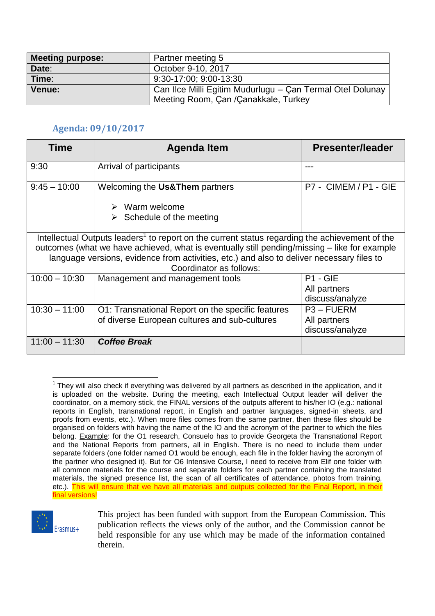| <b>Meeting purpose:</b> | Partner meeting 5                                         |
|-------------------------|-----------------------------------------------------------|
| Date:                   | October 9-10, 2017                                        |
| Time:                   | 9:30-17:00; 9:00-13:30                                    |
| Venue:                  | Can Ilce Milli Egitim Mudurlugu – Çan Termal Otel Dolunay |
|                         | Meeting Room, Çan /Çanakkale, Turkey                      |

### **Agenda: 09/10/2017**

| Time                                                                                                                                                                                                                                                                                                                               | Agenda Item                                                                                                          | Presenter/leader                                |  |  |
|------------------------------------------------------------------------------------------------------------------------------------------------------------------------------------------------------------------------------------------------------------------------------------------------------------------------------------|----------------------------------------------------------------------------------------------------------------------|-------------------------------------------------|--|--|
| 9:30                                                                                                                                                                                                                                                                                                                               | Arrival of participants                                                                                              |                                                 |  |  |
| $9:45 - 10:00$                                                                                                                                                                                                                                                                                                                     | Welcoming the Us& Them partners<br>Warm welcome<br>$\blacktriangleright$<br>$\triangleright$ Schedule of the meeting | P7 - CIMEM / P1 - GIE                           |  |  |
| Intellectual Outputs leaders <sup>1</sup> to report on the current status regarding the achievement of the<br>outcomes (what we have achieved, what is eventually still pending/missing – like for example<br>language versions, evidence from activities, etc.) and also to deliver necessary files to<br>Coordinator as follows: |                                                                                                                      |                                                 |  |  |
| $10:00 - 10:30$                                                                                                                                                                                                                                                                                                                    | Management and management tools                                                                                      | $P1 - GIE$<br>All partners<br>discuss/analyze   |  |  |
| $10:30 - 11:00$                                                                                                                                                                                                                                                                                                                    | O1: Transnational Report on the specific features<br>of diverse European cultures and sub-cultures                   | $P3 - FUERM$<br>All partners<br>discuss/analyze |  |  |
| $11:00 - 11:30$                                                                                                                                                                                                                                                                                                                    | <b>Coffee Break</b>                                                                                                  |                                                 |  |  |

<sup>1</sup>  $1$  They will also check if everything was delivered by all partners as described in the application, and it is uploaded on the website. During the meeting, each Intellectual Output leader will deliver the coordinator, on a memory stick, the FINAL versions of the outputs afferent to his/her IO (e.g.: national reports in English, transnational report, in English and partner languages, signed-in sheets, and proofs from events, etc.). When more files comes from the same partner, then these files should be organised on folders with having the name of the IO and the acronym of the partner to which the files belong. Example: for the O1 research, Consuelo has to provide Georgeta the Transnational Report and the National Reports from partners, all in English. There is no need to include them under separate folders (one folder named O1 would be enough, each file in the folder having the acronym of the partner who designed it). But for O6 Intensive Course, I need to receive from Elif one folder with all common materials for the course and separate folders for each partner containing the translated materials, the signed presence list, the scan of all certificates of attendance, photos from training, etc.). This will ensure that we have all materials and outputs collected for the Final Report, in their final versions!



This project has been funded with support from the European Commission. This publication reflects the views only of the author, and the Commission cannot be held responsible for any use which may be made of the information contained therein.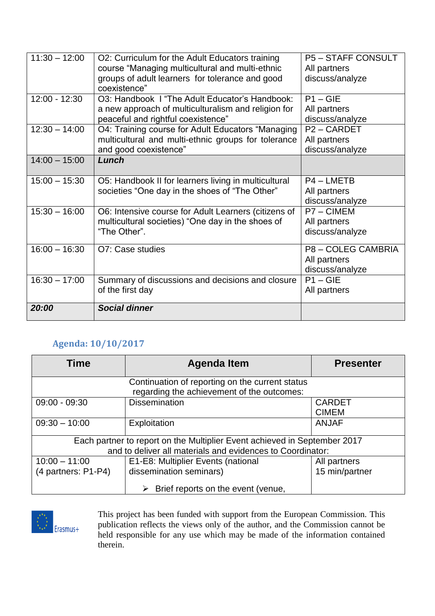| $11:30 - 12:00$ | O2: Curriculum for the Adult Educators training      | <b>P5-STAFF CONSULT</b> |
|-----------------|------------------------------------------------------|-------------------------|
|                 | course "Managing multicultural and multi-ethnic      | All partners            |
|                 | groups of adult learners for tolerance and good      | discuss/analyze         |
|                 | coexistence"                                         |                         |
| $12:00 - 12:30$ | O3: Handbook I "The Adult Educator's Handbook:       | $P1 - GIE$              |
|                 | a new approach of multiculturalism and religion for  | All partners            |
|                 | peaceful and rightful coexistence"                   | discuss/analyze         |
| $12:30 - 14:00$ | O4: Training course for Adult Educators "Managing    | P <sub>2</sub> - CARDET |
|                 | multicultural and multi-ethnic groups for tolerance  | All partners            |
|                 | and good coexistence"                                | discuss/analyze         |
| $14:00 - 15:00$ | Lunch                                                |                         |
|                 |                                                      |                         |
| $15:00 - 15:30$ | O5: Handbook II for learners living in multicultural | P4 - LMETB              |
|                 | societies "One day in the shoes of "The Other"       | All partners            |
|                 |                                                      | discuss/analyze         |
| $15:30 - 16:00$ | O6: Intensive course for Adult Learners (citizens of | P7-CIMEM                |
|                 | multicultural societies) "One day in the shoes of    | All partners            |
|                 | "The Other".                                         | discuss/analyze         |
|                 |                                                      |                         |
| $16:00 - 16:30$ | O7: Case studies                                     | P8-COLEG CAMBRIA        |
|                 |                                                      | All partners            |
|                 |                                                      | discuss/analyze         |
| $16:30 - 17:00$ | Summary of discussions and decisions and closure     | $P1 - GIE$              |
|                 | of the first day                                     | All partners            |
| 20:00           | <b>Social dinner</b>                                 |                         |
|                 |                                                      |                         |

## **Agenda: 10/10/2017**

| <b>Time</b>                                                                                   | <b>Agenda Item</b>                 | <b>Presenter</b> |  |  |
|-----------------------------------------------------------------------------------------------|------------------------------------|------------------|--|--|
| Continuation of reporting on the current status<br>regarding the achievement of the outcomes: |                                    |                  |  |  |
| $09:00 - 09:30$                                                                               | <b>Dissemination</b>               | <b>CARDET</b>    |  |  |
|                                                                                               |                                    | <b>CIMEM</b>     |  |  |
| $09:30 - 10:00$                                                                               | Exploitation                       | <b>ANJAF</b>     |  |  |
| Each partner to report on the Multiplier Event achieved in September 2017                     |                                    |                  |  |  |
| and to deliver all materials and evidences to Coordinator:                                    |                                    |                  |  |  |
| $10:00 - 11:00$                                                                               | E1-E8: Multiplier Events (national | All partners     |  |  |
| (4 partners: P1-P4)                                                                           | dissemination seminars)            | 15 min/partner   |  |  |
|                                                                                               | Brief reports on the event (venue, |                  |  |  |



This project has been funded with support from the European Commission. This publication reflects the views only of the author, and the Commission cannot be held responsible for any use which may be made of the information contained therein.